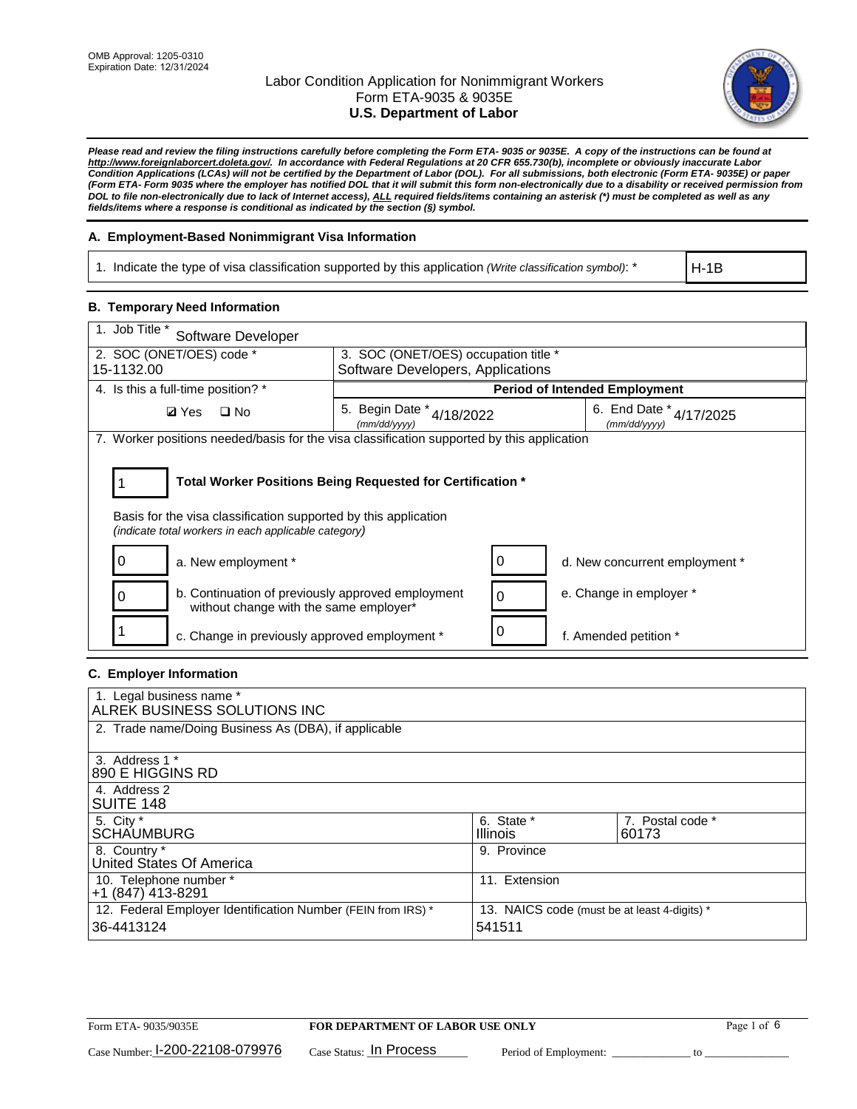

*Please read and review the filing instructions carefully before completing the Form ETA- 9035 or 9035E. A copy of the instructions can be found at [http://www.foreignlaborcert.doleta.gov/.](http://www.foreignlaborcert.doleta.gov/) In accordance with Federal Regulations at 20 CFR 655.730(b), incomplete or obviously inaccurate Labor Condition Applications (LCAs) will not be certified by the Department of Labor (DOL). For all submissions, both electronic (Form ETA- 9035E) or paper (Form ETA- Form 9035 where the employer has notified DOL that it will submit this form non-electronically due to a disability or received permission from DOL to file non-electronically due to lack of Internet access), ALL required fields/items containing an asterisk (\*) must be completed as well as any fields/items where a response is conditional as indicated by the section (§) symbol.* 

## **A. Employment-Based Nonimmigrant Visa Information**

1. Indicate the type of visa classification supported by this application *(Write classification symbol)*: \*

H-1B

#### **B. Temporary Need Information**

| 1. Job Title *<br>Software Developer                                                                                                                                                  |                                               |          |                                             |  |  |
|---------------------------------------------------------------------------------------------------------------------------------------------------------------------------------------|-----------------------------------------------|----------|---------------------------------------------|--|--|
| 2. SOC (ONET/OES) code *<br>3. SOC (ONET/OES) occupation title *                                                                                                                      |                                               |          |                                             |  |  |
| 15-1132.00                                                                                                                                                                            | Software Developers, Applications             |          |                                             |  |  |
| 4. Is this a full-time position? *                                                                                                                                                    |                                               |          | <b>Period of Intended Employment</b>        |  |  |
| <b>Ø</b> Yes<br>$\Box$ No                                                                                                                                                             | 5. Begin Date $*_{4/18/2022}$<br>(mm/dd/vvvv) |          | 6. End Date $*_{4/17/2025}$<br>(mm/dd/vvvv) |  |  |
| 7. Worker positions needed/basis for the visa classification supported by this application                                                                                            |                                               |          |                                             |  |  |
| Total Worker Positions Being Requested for Certification *<br>Basis for the visa classification supported by this application<br>(indicate total workers in each applicable category) |                                               |          |                                             |  |  |
| a. New employment *<br>0                                                                                                                                                              |                                               | 0        | d. New concurrent employment *              |  |  |
| b. Continuation of previously approved employment<br>0<br>without change with the same employer*                                                                                      |                                               | $\Omega$ | e. Change in employer *                     |  |  |
| c. Change in previously approved employment *                                                                                                                                         |                                               | 0        | f. Amended petition *                       |  |  |

#### **C. Employer Information**

| 1. Legal business name *                             |                                                                                                              |                  |  |  |  |  |  |
|------------------------------------------------------|--------------------------------------------------------------------------------------------------------------|------------------|--|--|--|--|--|
| ALREK BUSINESS SOLUTIONS INC                         |                                                                                                              |                  |  |  |  |  |  |
| 2. Trade name/Doing Business As (DBA), if applicable |                                                                                                              |                  |  |  |  |  |  |
|                                                      |                                                                                                              |                  |  |  |  |  |  |
| 3. Address 1 *                                       |                                                                                                              |                  |  |  |  |  |  |
| 890 E HIGGINS RD                                     |                                                                                                              |                  |  |  |  |  |  |
| 4. Address 2                                         |                                                                                                              |                  |  |  |  |  |  |
| SUITE 148                                            |                                                                                                              |                  |  |  |  |  |  |
| 5. City *                                            | 6. State *                                                                                                   | 7. Postal code * |  |  |  |  |  |
| <b>SCHAUMBURG</b>                                    | <b>Illinois</b>                                                                                              | 60173            |  |  |  |  |  |
| 8. Country *                                         | 9. Province                                                                                                  |                  |  |  |  |  |  |
| United States Of America                             |                                                                                                              |                  |  |  |  |  |  |
| 10. Telephone number *                               | 11. Extension                                                                                                |                  |  |  |  |  |  |
| +1 (847) 413-8291                                    |                                                                                                              |                  |  |  |  |  |  |
|                                                      | 12. Federal Employer Identification Number (FEIN from IRS) *<br>13. NAICS code (must be at least 4-digits) * |                  |  |  |  |  |  |
| 36-4413124                                           | 541511                                                                                                       |                  |  |  |  |  |  |
|                                                      |                                                                                                              |                  |  |  |  |  |  |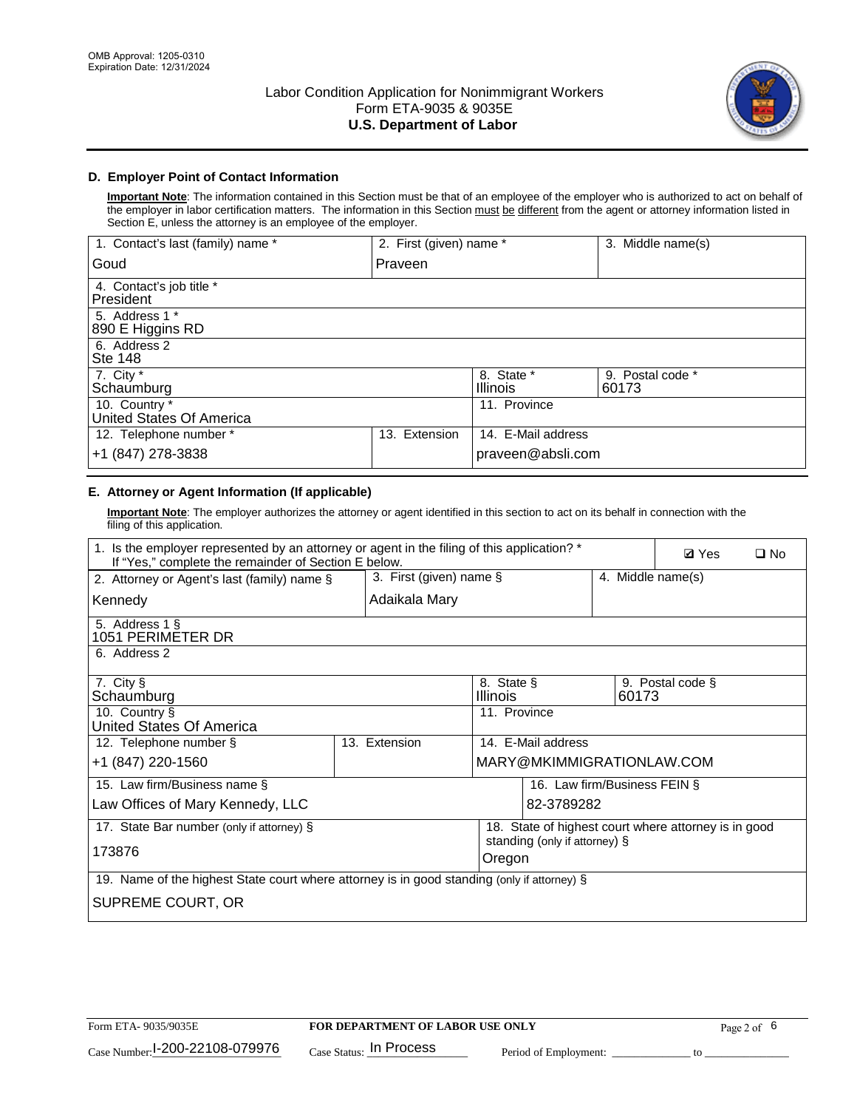

## **D. Employer Point of Contact Information**

**Important Note**: The information contained in this Section must be that of an employee of the employer who is authorized to act on behalf of the employer in labor certification matters. The information in this Section must be different from the agent or attorney information listed in Section E, unless the attorney is an employee of the employer.

| 1. Contact's last (family) name *         | 2. First (given) name * |                               | 3. Middle name(s)         |
|-------------------------------------------|-------------------------|-------------------------------|---------------------------|
| Goud                                      | Praveen                 |                               |                           |
| 4. Contact's job title *<br>President     |                         |                               |                           |
| 5. Address 1 *<br>890 E Higgins RD        |                         |                               |                           |
| 6. Address 2<br>Ste 148                   |                         |                               |                           |
| 7. City *<br>Schaumburg                   |                         | 8. State *<br><b>Illinois</b> | 9. Postal code *<br>60173 |
| 10. Country *<br>United States Of America |                         | 11. Province                  |                           |
| 12. Telephone number *                    | Extension<br>13.        | 14. E-Mail address            |                           |
| +1 (847) 278-3838                         |                         | praveen@absli.com             |                           |

# **E. Attorney or Agent Information (If applicable)**

**Important Note**: The employer authorizes the attorney or agent identified in this section to act on its behalf in connection with the filing of this application.

| 1. Is the employer represented by an attorney or agent in the filing of this application? *<br>If "Yes," complete the remainder of Section E below. |                                              |               |                        |                              |  | <b>Ø</b> Yes | $\Box$ No                                            |  |
|-----------------------------------------------------------------------------------------------------------------------------------------------------|----------------------------------------------|---------------|------------------------|------------------------------|--|--------------|------------------------------------------------------|--|
| 2. Attorney or Agent's last (family) name §                                                                                                         | 3. First (given) name §<br>4. Middle name(s) |               |                        |                              |  |              |                                                      |  |
| Kennedy                                                                                                                                             |                                              | Adaikala Mary |                        |                              |  |              |                                                      |  |
| 5. Address 1 §<br>1051 PERIMETER DR                                                                                                                 |                                              |               |                        |                              |  |              |                                                      |  |
| 6. Address 2                                                                                                                                        |                                              |               |                        |                              |  |              |                                                      |  |
| 7. City §<br>Schaumburg                                                                                                                             |                                              |               | 8. State §<br>Illinois |                              |  | 60173        | 9. Postal code §                                     |  |
| 10. Country §<br>United States Of America                                                                                                           |                                              |               | 11. Province           |                              |  |              |                                                      |  |
| 12. Telephone number §                                                                                                                              |                                              | 13. Extension |                        | 14. E-Mail address           |  |              |                                                      |  |
| +1 (847) 220-1560                                                                                                                                   |                                              |               |                        | MARY@MKIMMIGRATIONLAW.COM    |  |              |                                                      |  |
| 15. Law firm/Business name §                                                                                                                        |                                              |               |                        | 16. Law firm/Business FEIN § |  |              |                                                      |  |
| Law Offices of Mary Kennedy, LLC                                                                                                                    |                                              |               |                        | 82-3789282                   |  |              |                                                      |  |
| 17. State Bar number (only if attorney) §                                                                                                           |                                              |               |                        |                              |  |              | 18. State of highest court where attorney is in good |  |
| standing (only if attorney) §<br>173876<br>Oregon                                                                                                   |                                              |               |                        |                              |  |              |                                                      |  |
| 19. Name of the highest State court where attorney is in good standing (only if attorney) §                                                         |                                              |               |                        |                              |  |              |                                                      |  |
| SUPREME COURT, OR                                                                                                                                   |                                              |               |                        |                              |  |              |                                                      |  |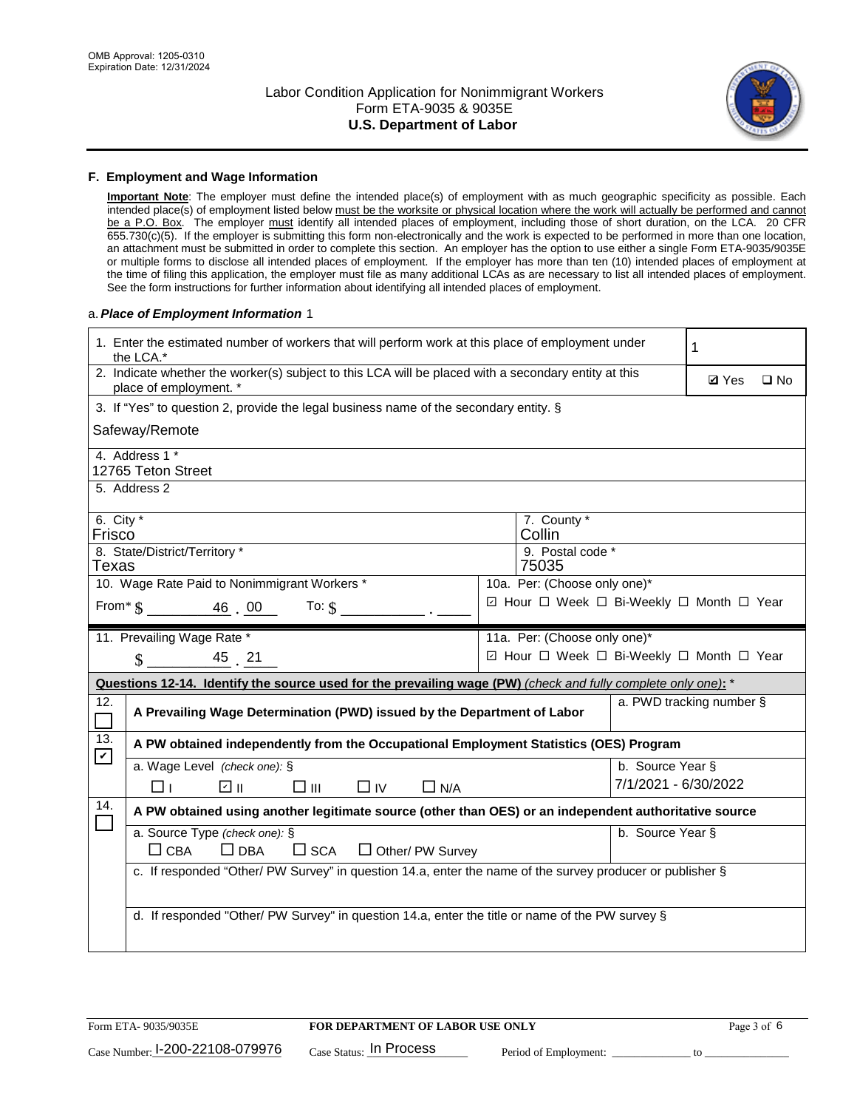

#### **F. Employment and Wage Information**

**Important Note**: The employer must define the intended place(s) of employment with as much geographic specificity as possible. Each intended place(s) of employment listed below must be the worksite or physical location where the work will actually be performed and cannot be a P.O. Box. The employer must identify all intended places of employment, including those of short duration, on the LCA. 20 CFR 655.730(c)(5). If the employer is submitting this form non-electronically and the work is expected to be performed in more than one location, an attachment must be submitted in order to complete this section. An employer has the option to use either a single Form ETA-9035/9035E or multiple forms to disclose all intended places of employment. If the employer has more than ten (10) intended places of employment at the time of filing this application, the employer must file as many additional LCAs as are necessary to list all intended places of employment. See the form instructions for further information about identifying all intended places of employment.

#### a.*Place of Employment Information* 1

|                       | 1. Enter the estimated number of workers that will perform work at this place of employment under<br>the LCA.*                 |  | 1                                        |                      |                          |              |  |  |
|-----------------------|--------------------------------------------------------------------------------------------------------------------------------|--|------------------------------------------|----------------------|--------------------------|--------------|--|--|
|                       | 2. Indicate whether the worker(s) subject to this LCA will be placed with a secondary entity at this<br>place of employment. * |  |                                          |                      | <b>Ø</b> Yes             | $\square$ No |  |  |
|                       | 3. If "Yes" to question 2, provide the legal business name of the secondary entity. §                                          |  |                                          |                      |                          |              |  |  |
|                       | Safeway/Remote                                                                                                                 |  |                                          |                      |                          |              |  |  |
|                       | 4. Address 1 *<br>12765 Teton Street                                                                                           |  |                                          |                      |                          |              |  |  |
|                       | 5. Address 2                                                                                                                   |  |                                          |                      |                          |              |  |  |
| 6. City $*$<br>Frisco |                                                                                                                                |  | 7. County *<br>Collin                    |                      |                          |              |  |  |
| Texas                 | 8. State/District/Territory *                                                                                                  |  | 9. Postal code *<br>75035                |                      |                          |              |  |  |
|                       | 10. Wage Rate Paid to Nonimmigrant Workers *                                                                                   |  | 10a. Per: (Choose only one)*             |                      |                          |              |  |  |
|                       | ☑ Hour □ Week □ Bi-Weekly □ Month □ Year<br>From $\frac{1}{2}$ $\frac{46}{10}$ $\frac{00}{10}$<br>To: $$$                      |  |                                          |                      |                          |              |  |  |
|                       | 11. Prevailing Wage Rate *                                                                                                     |  | 11a. Per: (Choose only one)*             |                      |                          |              |  |  |
|                       | 45 21<br>$\mathbf{\$}$                                                                                                         |  | ☑ Hour □ Week □ Bi-Weekly □ Month □ Year |                      |                          |              |  |  |
|                       | Questions 12-14. Identify the source used for the prevailing wage (PW) (check and fully complete only one): *                  |  |                                          |                      |                          |              |  |  |
| 12.<br>$\Box$         | A Prevailing Wage Determination (PWD) issued by the Department of Labor                                                        |  |                                          |                      | a. PWD tracking number § |              |  |  |
| 13.                   | A PW obtained independently from the Occupational Employment Statistics (OES) Program                                          |  |                                          |                      |                          |              |  |  |
| $\mathbf v$           | a. Wage Level (check one): §                                                                                                   |  |                                          | b. Source Year §     |                          |              |  |  |
|                       | ☑ ॥<br>$\square$ $\square$<br>$\square$ IV<br>$\Box$ N/A<br>⊓⊥                                                                 |  |                                          | 7/1/2021 - 6/30/2022 |                          |              |  |  |
| 14.                   | A PW obtained using another legitimate source (other than OES) or an independent authoritative source                          |  |                                          |                      |                          |              |  |  |
|                       | a. Source Type (check one): §<br>b. Source Year §<br>$\Box$ CBA<br>$\Box$ DBA<br>$\square$ SCA<br>$\Box$ Other/ PW Survey      |  |                                          |                      |                          |              |  |  |
|                       | c. If responded "Other/ PW Survey" in question 14.a, enter the name of the survey producer or publisher §                      |  |                                          |                      |                          |              |  |  |
|                       | d. If responded "Other/ PW Survey" in question 14.a, enter the title or name of the PW survey §                                |  |                                          |                      |                          |              |  |  |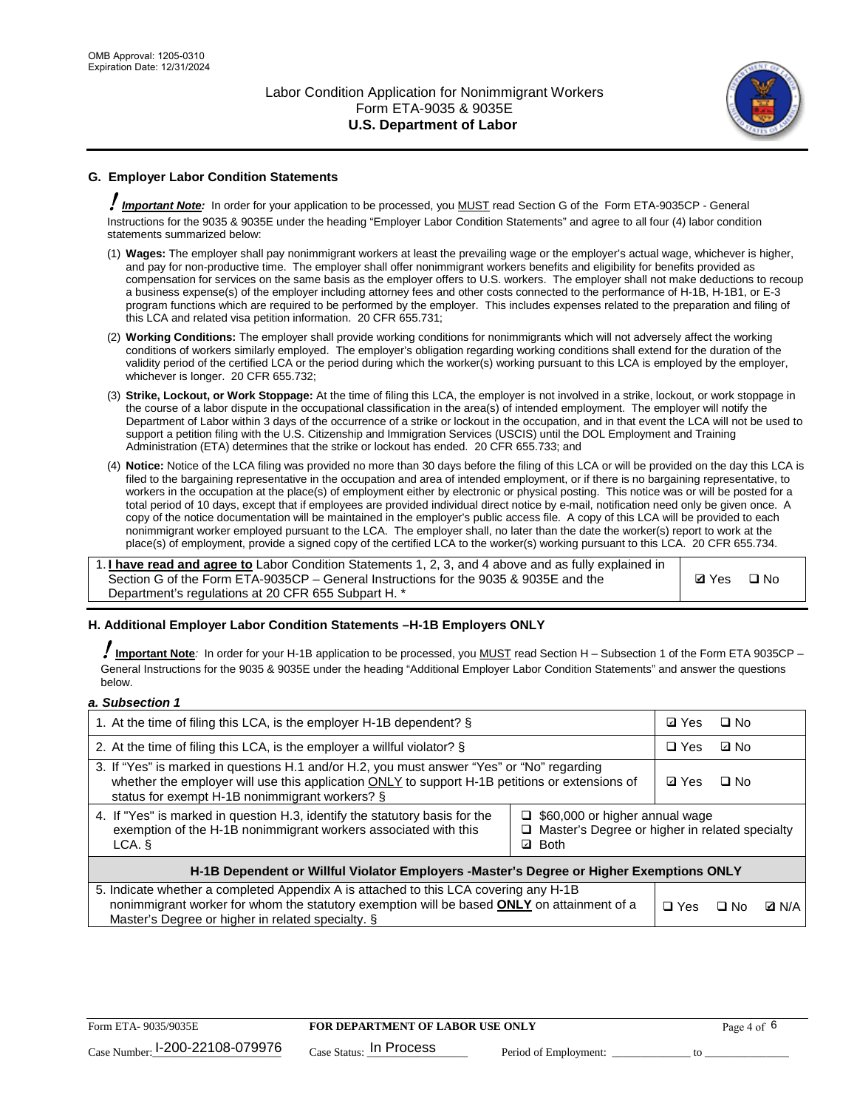

## **G. Employer Labor Condition Statements**

! *Important Note:* In order for your application to be processed, you MUST read Section G of the Form ETA-9035CP - General Instructions for the 9035 & 9035E under the heading "Employer Labor Condition Statements" and agree to all four (4) labor condition statements summarized below:

- (1) **Wages:** The employer shall pay nonimmigrant workers at least the prevailing wage or the employer's actual wage, whichever is higher, and pay for non-productive time. The employer shall offer nonimmigrant workers benefits and eligibility for benefits provided as compensation for services on the same basis as the employer offers to U.S. workers. The employer shall not make deductions to recoup a business expense(s) of the employer including attorney fees and other costs connected to the performance of H-1B, H-1B1, or E-3 program functions which are required to be performed by the employer. This includes expenses related to the preparation and filing of this LCA and related visa petition information. 20 CFR 655.731;
- (2) **Working Conditions:** The employer shall provide working conditions for nonimmigrants which will not adversely affect the working conditions of workers similarly employed. The employer's obligation regarding working conditions shall extend for the duration of the validity period of the certified LCA or the period during which the worker(s) working pursuant to this LCA is employed by the employer, whichever is longer. 20 CFR 655.732;
- (3) **Strike, Lockout, or Work Stoppage:** At the time of filing this LCA, the employer is not involved in a strike, lockout, or work stoppage in the course of a labor dispute in the occupational classification in the area(s) of intended employment. The employer will notify the Department of Labor within 3 days of the occurrence of a strike or lockout in the occupation, and in that event the LCA will not be used to support a petition filing with the U.S. Citizenship and Immigration Services (USCIS) until the DOL Employment and Training Administration (ETA) determines that the strike or lockout has ended. 20 CFR 655.733; and
- (4) **Notice:** Notice of the LCA filing was provided no more than 30 days before the filing of this LCA or will be provided on the day this LCA is filed to the bargaining representative in the occupation and area of intended employment, or if there is no bargaining representative, to workers in the occupation at the place(s) of employment either by electronic or physical posting. This notice was or will be posted for a total period of 10 days, except that if employees are provided individual direct notice by e-mail, notification need only be given once. A copy of the notice documentation will be maintained in the employer's public access file. A copy of this LCA will be provided to each nonimmigrant worker employed pursuant to the LCA. The employer shall, no later than the date the worker(s) report to work at the place(s) of employment, provide a signed copy of the certified LCA to the worker(s) working pursuant to this LCA. 20 CFR 655.734.

1. **I have read and agree to** Labor Condition Statements 1, 2, 3, and 4 above and as fully explained in Section G of the Form ETA-9035CP – General Instructions for the 9035 & 9035E and the Department's regulations at 20 CFR 655 Subpart H. \*

**Ø**Yes ロNo

#### **H. Additional Employer Labor Condition Statements –H-1B Employers ONLY**

!**Important Note***:* In order for your H-1B application to be processed, you MUST read Section H – Subsection 1 of the Form ETA 9035CP – General Instructions for the 9035 & 9035E under the heading "Additional Employer Labor Condition Statements" and answer the questions below.

#### *a. Subsection 1*

| 1. At the time of filing this LCA, is the employer H-1B dependent? §                                                                                                                                                                           | ⊡ Yes                                                                                                         | □ No |           |              |  |
|------------------------------------------------------------------------------------------------------------------------------------------------------------------------------------------------------------------------------------------------|---------------------------------------------------------------------------------------------------------------|------|-----------|--------------|--|
| 2. At the time of filing this LCA, is the employer a willful violator? $\S$                                                                                                                                                                    |                                                                                                               |      | ⊡ No      |              |  |
| 3. If "Yes" is marked in questions H.1 and/or H.2, you must answer "Yes" or "No" regarding<br>whether the employer will use this application ONLY to support H-1B petitions or extensions of<br>status for exempt H-1B nonimmigrant workers? § |                                                                                                               |      | $\Box$ No |              |  |
| 4. If "Yes" is marked in question H.3, identify the statutory basis for the<br>exemption of the H-1B nonimmigrant workers associated with this<br>LCA.                                                                                         | $\Box$ \$60,000 or higher annual wage<br>□ Master's Degree or higher in related specialty<br><b>Both</b><br>☑ |      |           |              |  |
| H-1B Dependent or Willful Violator Employers -Master's Degree or Higher Exemptions ONLY                                                                                                                                                        |                                                                                                               |      |           |              |  |
| 5. Indicate whether a completed Appendix A is attached to this LCA covering any H-1B<br>nonimmigrant worker for whom the statutory exemption will be based <b>ONLY</b> on attainment of a<br>Master's Degree or higher in related specialty. § |                                                                                                               |      | ⊟ No      | <b>D</b> N/A |  |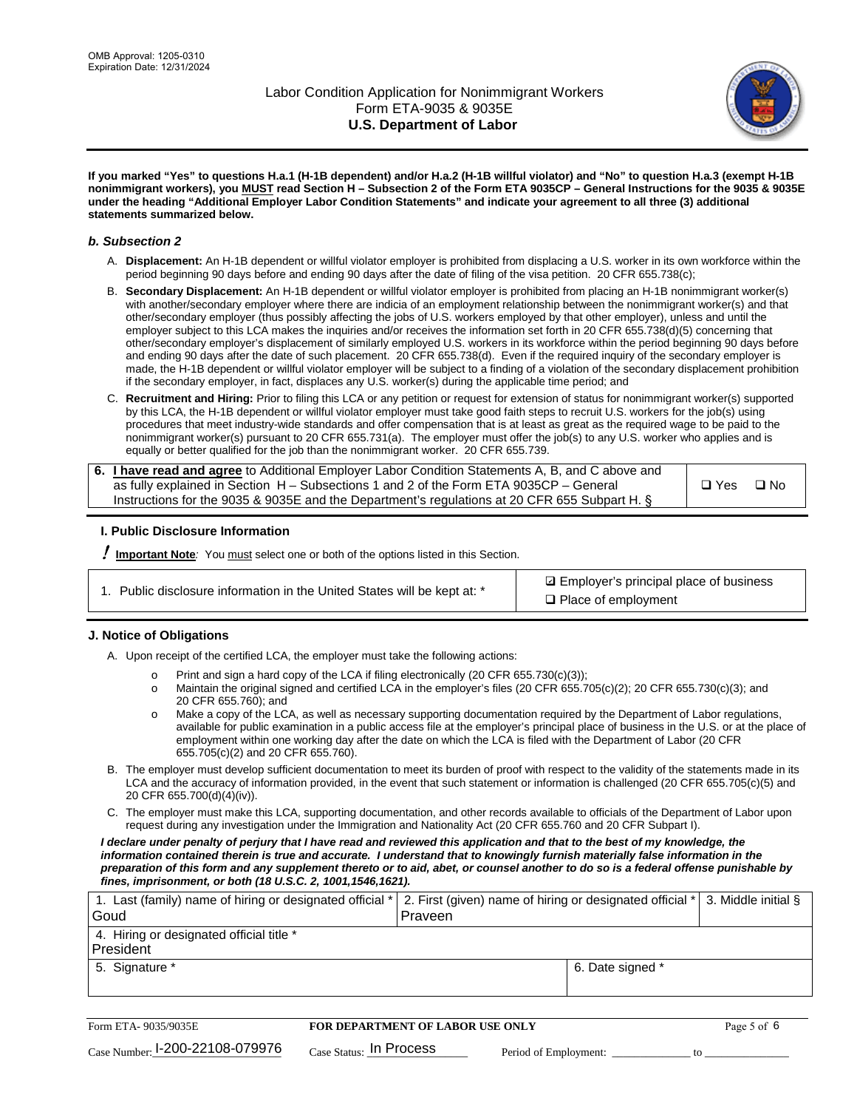

**If you marked "Yes" to questions H.a.1 (H-1B dependent) and/or H.a.2 (H-1B willful violator) and "No" to question H.a.3 (exempt H-1B nonimmigrant workers), you MUST read Section H – Subsection 2 of the Form ETA 9035CP – General Instructions for the 9035 & 9035E under the heading "Additional Employer Labor Condition Statements" and indicate your agreement to all three (3) additional statements summarized below.**

#### *b. Subsection 2*

- A. **Displacement:** An H-1B dependent or willful violator employer is prohibited from displacing a U.S. worker in its own workforce within the period beginning 90 days before and ending 90 days after the date of filing of the visa petition. 20 CFR 655.738(c);
- B. **Secondary Displacement:** An H-1B dependent or willful violator employer is prohibited from placing an H-1B nonimmigrant worker(s) with another/secondary employer where there are indicia of an employment relationship between the nonimmigrant worker(s) and that other/secondary employer (thus possibly affecting the jobs of U.S. workers employed by that other employer), unless and until the employer subject to this LCA makes the inquiries and/or receives the information set forth in 20 CFR 655.738(d)(5) concerning that other/secondary employer's displacement of similarly employed U.S. workers in its workforce within the period beginning 90 days before and ending 90 days after the date of such placement. 20 CFR 655.738(d). Even if the required inquiry of the secondary employer is made, the H-1B dependent or willful violator employer will be subject to a finding of a violation of the secondary displacement prohibition if the secondary employer, in fact, displaces any U.S. worker(s) during the applicable time period; and
- C. **Recruitment and Hiring:** Prior to filing this LCA or any petition or request for extension of status for nonimmigrant worker(s) supported by this LCA, the H-1B dependent or willful violator employer must take good faith steps to recruit U.S. workers for the job(s) using procedures that meet industry-wide standards and offer compensation that is at least as great as the required wage to be paid to the nonimmigrant worker(s) pursuant to 20 CFR 655.731(a). The employer must offer the job(s) to any U.S. worker who applies and is equally or better qualified for the job than the nonimmigrant worker. 20 CFR 655.739.

| 6. I have read and agree to Additional Employer Labor Condition Statements A, B, and C above and |       |           |
|--------------------------------------------------------------------------------------------------|-------|-----------|
| as fully explained in Section H – Subsections 1 and 2 of the Form ETA 9035CP – General           | □ Yes | $\Box$ No |
| Instructions for the 9035 & 9035E and the Department's regulations at 20 CFR 655 Subpart H. §    |       |           |

#### **I. Public Disclosure Information**

! **Important Note***:* You must select one or both of the options listed in this Section.

**sqrt** Employer's principal place of business □ Place of employment

#### **J. Notice of Obligations**

A. Upon receipt of the certified LCA, the employer must take the following actions:

- o Print and sign a hard copy of the LCA if filing electronically (20 CFR 655.730(c)(3));<br>
Maintain the original signed and certified LCA in the employer's files (20 CFR 655.7
- Maintain the original signed and certified LCA in the employer's files (20 CFR 655.705(c)(2); 20 CFR 655.730(c)(3); and 20 CFR 655.760); and
- o Make a copy of the LCA, as well as necessary supporting documentation required by the Department of Labor regulations, available for public examination in a public access file at the employer's principal place of business in the U.S. or at the place of employment within one working day after the date on which the LCA is filed with the Department of Labor (20 CFR 655.705(c)(2) and 20 CFR 655.760).
- B. The employer must develop sufficient documentation to meet its burden of proof with respect to the validity of the statements made in its LCA and the accuracy of information provided, in the event that such statement or information is challenged (20 CFR 655.705(c)(5) and 20 CFR 655.700(d)(4)(iv)).
- C. The employer must make this LCA, supporting documentation, and other records available to officials of the Department of Labor upon request during any investigation under the Immigration and Nationality Act (20 CFR 655.760 and 20 CFR Subpart I).

*I declare under penalty of perjury that I have read and reviewed this application and that to the best of my knowledge, the*  information contained therein is true and accurate. I understand that to knowingly furnish materially false information in the *preparation of this form and any supplement thereto or to aid, abet, or counsel another to do so is a federal offense punishable by fines, imprisonment, or both (18 U.S.C. 2, 1001,1546,1621).*

| 1. Last (family) name of hiring or designated official *   2. First (given) name of hiring or designated official *   3. Middle initial §<br>Goud | Praveen          |  |
|---------------------------------------------------------------------------------------------------------------------------------------------------|------------------|--|
| 4. Hiring or designated official title *<br>l President                                                                                           |                  |  |
| 5. Signature *                                                                                                                                    | 6. Date signed * |  |

| Form ETA-9035/9035E             | FOR DEPARTMENT OF LABOR USE ONLY   |                       |  |
|---------------------------------|------------------------------------|-----------------------|--|
| Case Number: 1-200-22108-079976 | $_{\rm Case~S status:}$ In Process | Period of Employment: |  |